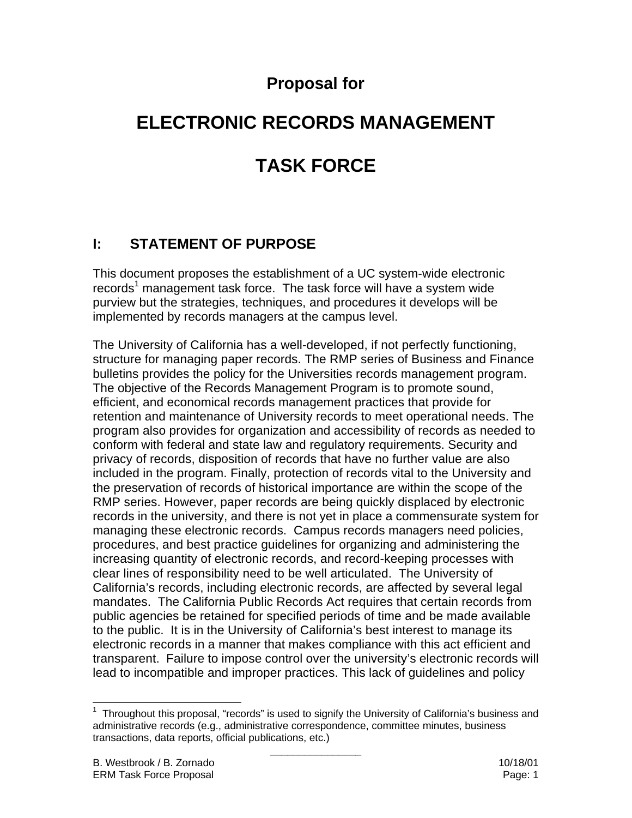# **Proposal for**

# **ELECTRONIC RECORDS MANAGEMENT TASK FORCE**

# **I: STATEMENT OF PURPOSE**

This document proposes the establishment of a UC system-wide electronic records<sup>1</sup> management task force. The task force will have a system wide purview but the strategies, techniques, and procedures it develops will be implemented by records managers at the campus level.

The University of California has a well-developed, if not perfectly functioning, structure for managing paper records. The RMP series of Business and Finance bulletins provides the policy for the Universities records management program. The objective of the Records Management Program is to promote sound, efficient, and economical records management practices that provide for retention and maintenance of University records to meet operational needs. The program also provides for organization and accessibility of records as needed to conform with federal and state law and regulatory requirements. Security and privacy of records, disposition of records that have no further value are also included in the program. Finally, protection of records vital to the University and the preservation of records of historical importance are within the scope of the RMP series. However, paper records are being quickly displaced by electronic records in the university, and there is not yet in place a commensurate system for managing these electronic records. Campus records managers need policies, procedures, and best practice guidelines for organizing and administering the increasing quantity of electronic records, and record-keeping processes with clear lines of responsibility need to be well articulated. The University of California's records, including electronic records, are affected by several legal mandates. The California Public Records Act requires that certain records from public agencies be retained for specified periods of time and be made available to the public. It is in the University of California's best interest to manage its electronic records in a manner that makes compliance with this act efficient and transparent. Failure to impose control over the university's electronic records will lead to incompatible and improper practices. This lack of guidelines and policy

 1 Throughout this proposal, "records" is used to signify the University of California's business and administrative records (e.g., administrative correspondence, committee minutes, business transactions, data reports, official publications, etc.)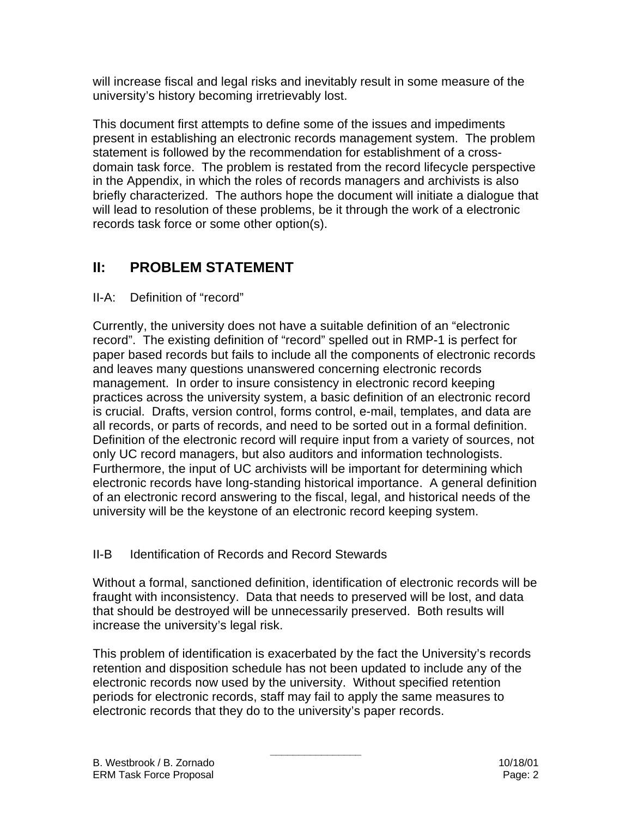will increase fiscal and legal risks and inevitably result in some measure of the university's history becoming irretrievably lost.

This document first attempts to define some of the issues and impediments present in establishing an electronic records management system. The problem statement is followed by the recommendation for establishment of a crossdomain task force. The problem is restated from the record lifecycle perspective in the Appendix, in which the roles of records managers and archivists is also briefly characterized. The authors hope the document will initiate a dialogue that will lead to resolution of these problems, be it through the work of a electronic records task force or some other option(s).

# **II: PROBLEM STATEMENT**

## II-A: Definition of "record"

Currently, the university does not have a suitable definition of an "electronic record". The existing definition of "record" spelled out in RMP-1 is perfect for paper based records but fails to include all the components of electronic records and leaves many questions unanswered concerning electronic records management. In order to insure consistency in electronic record keeping practices across the university system, a basic definition of an electronic record is crucial. Drafts, version control, forms control, e-mail, templates, and data are all records, or parts of records, and need to be sorted out in a formal definition. Definition of the electronic record will require input from a variety of sources, not only UC record managers, but also auditors and information technologists. Furthermore, the input of UC archivists will be important for determining which electronic records have long-standing historical importance. A general definition of an electronic record answering to the fiscal, legal, and historical needs of the university will be the keystone of an electronic record keeping system.

## II-B Identification of Records and Record Stewards

Without a formal, sanctioned definition, identification of electronic records will be fraught with inconsistency. Data that needs to preserved will be lost, and data that should be destroyed will be unnecessarily preserved. Both results will increase the university's legal risk.

This problem of identification is exacerbated by the fact the University's records retention and disposition schedule has not been updated to include any of the electronic records now used by the university. Without specified retention periods for electronic records, staff may fail to apply the same measures to electronic records that they do to the university's paper records.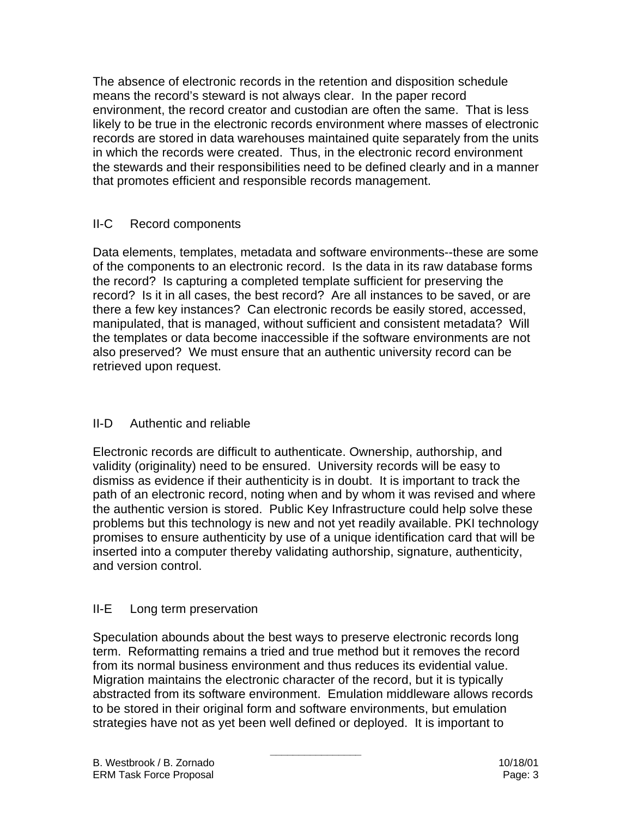The absence of electronic records in the retention and disposition schedule means the record's steward is not always clear. In the paper record environment, the record creator and custodian are often the same. That is less likely to be true in the electronic records environment where masses of electronic records are stored in data warehouses maintained quite separately from the units in which the records were created. Thus, in the electronic record environment the stewards and their responsibilities need to be defined clearly and in a manner that promotes efficient and responsible records management.

#### II-C Record components

Data elements, templates, metadata and software environments--these are some of the components to an electronic record. Is the data in its raw database forms the record? Is capturing a completed template sufficient for preserving the record? Is it in all cases, the best record? Are all instances to be saved, or are there a few key instances? Can electronic records be easily stored, accessed, manipulated, that is managed, without sufficient and consistent metadata? Will the templates or data become inaccessible if the software environments are not also preserved? We must ensure that an authentic university record can be retrieved upon request.

## II-D Authentic and reliable

Electronic records are difficult to authenticate. Ownership, authorship, and validity (originality) need to be ensured. University records will be easy to dismiss as evidence if their authenticity is in doubt. It is important to track the path of an electronic record, noting when and by whom it was revised and where the authentic version is stored. Public Key Infrastructure could help solve these problems but this technology is new and not yet readily available. PKI technology promises to ensure authenticity by use of a unique identification card that will be inserted into a computer thereby validating authorship, signature, authenticity, and version control.

## II-E Long term preservation

Speculation abounds about the best ways to preserve electronic records long term. Reformatting remains a tried and true method but it removes the record from its normal business environment and thus reduces its evidential value. Migration maintains the electronic character of the record, but it is typically abstracted from its software environment. Emulation middleware allows records to be stored in their original form and software environments, but emulation strategies have not as yet been well defined or deployed. It is important to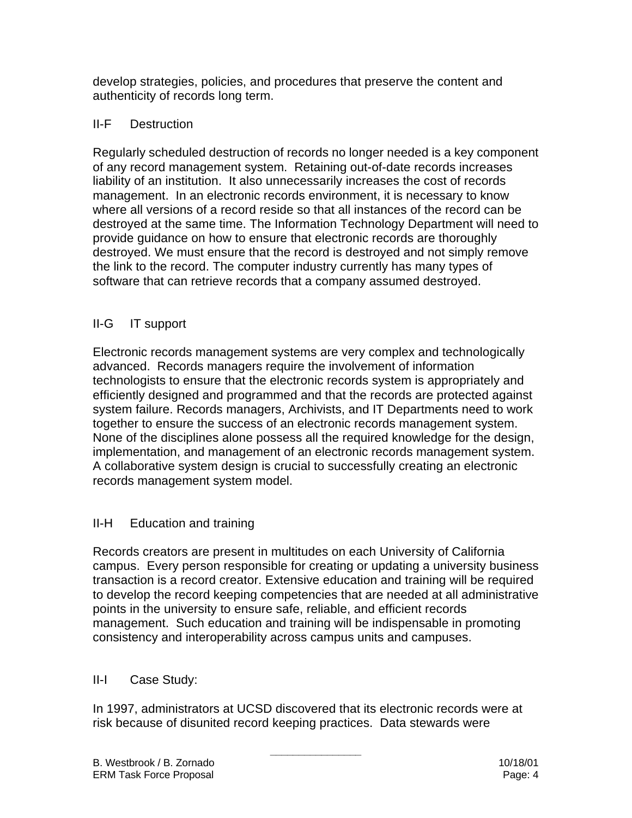develop strategies, policies, and procedures that preserve the content and authenticity of records long term.

#### II-F Destruction

Regularly scheduled destruction of records no longer needed is a key component of any record management system. Retaining out-of-date records increases liability of an institution. It also unnecessarily increases the cost of records management. In an electronic records environment, it is necessary to know where all versions of a record reside so that all instances of the record can be destroyed at the same time. The Information Technology Department will need to provide guidance on how to ensure that electronic records are thoroughly destroyed. We must ensure that the record is destroyed and not simply remove the link to the record. The computer industry currently has many types of software that can retrieve records that a company assumed destroyed.

## II-G IT support

Electronic records management systems are very complex and technologically advanced. Records managers require the involvement of information technologists to ensure that the electronic records system is appropriately and efficiently designed and programmed and that the records are protected against system failure. Records managers, Archivists, and IT Departments need to work together to ensure the success of an electronic records management system. None of the disciplines alone possess all the required knowledge for the design, implementation, and management of an electronic records management system. A collaborative system design is crucial to successfully creating an electronic records management system model.

## II-H Education and training

Records creators are present in multitudes on each University of California campus. Every person responsible for creating or updating a university business transaction is a record creator. Extensive education and training will be required to develop the record keeping competencies that are needed at all administrative points in the university to ensure safe, reliable, and efficient records management. Such education and training will be indispensable in promoting consistency and interoperability across campus units and campuses.

## II-I Case Study:

In 1997, administrators at UCSD discovered that its electronic records were at risk because of disunited record keeping practices. Data stewards were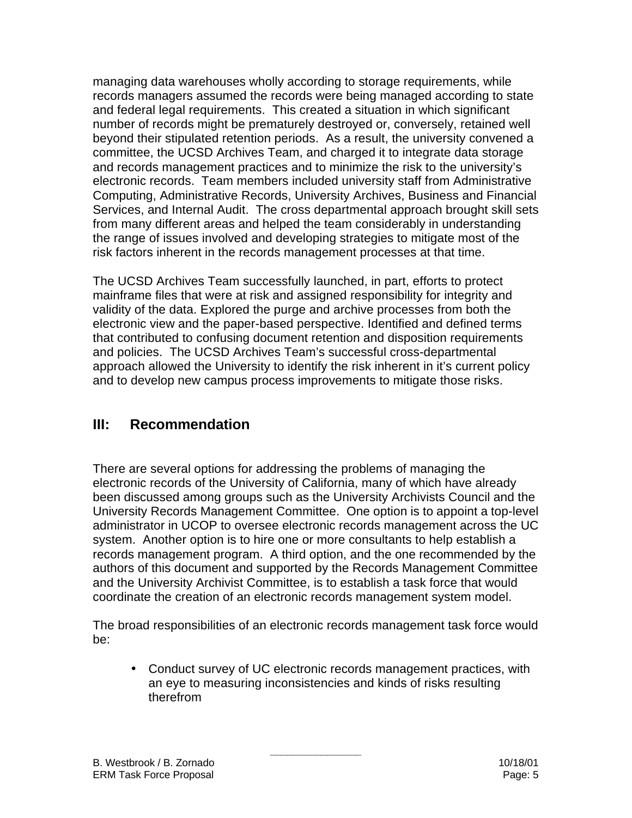managing data warehouses wholly according to storage requirements, while records managers assumed the records were being managed according to state and federal legal requirements. This created a situation in which significant number of records might be prematurely destroyed or, conversely, retained well beyond their stipulated retention periods. As a result, the university convened a committee, the UCSD Archives Team, and charged it to integrate data storage and records management practices and to minimize the risk to the university's electronic records. Team members included university staff from Administrative Computing, Administrative Records, University Archives, Business and Financial Services, and Internal Audit. The cross departmental approach brought skill sets from many different areas and helped the team considerably in understanding the range of issues involved and developing strategies to mitigate most of the risk factors inherent in the records management processes at that time.

The UCSD Archives Team successfully launched, in part, efforts to protect mainframe files that were at risk and assigned responsibility for integrity and validity of the data. Explored the purge and archive processes from both the electronic view and the paper-based perspective. Identified and defined terms that contributed to confusing document retention and disposition requirements and policies. The UCSD Archives Team's successful cross-departmental approach allowed the University to identify the risk inherent in it's current policy and to develop new campus process improvements to mitigate those risks.

# **III: Recommendation**

There are several options for addressing the problems of managing the electronic records of the University of California, many of which have already been discussed among groups such as the University Archivists Council and the University Records Management Committee. One option is to appoint a top-level administrator in UCOP to oversee electronic records management across the UC system. Another option is to hire one or more consultants to help establish a records management program. A third option, and the one recommended by the authors of this document and supported by the Records Management Committee and the University Archivist Committee, is to establish a task force that would coordinate the creation of an electronic records management system model.

The broad responsibilities of an electronic records management task force would be:

**\_\_\_\_\_\_\_\_\_\_\_\_\_\_\_\_**

• Conduct survey of UC electronic records management practices, with an eye to measuring inconsistencies and kinds of risks resulting therefrom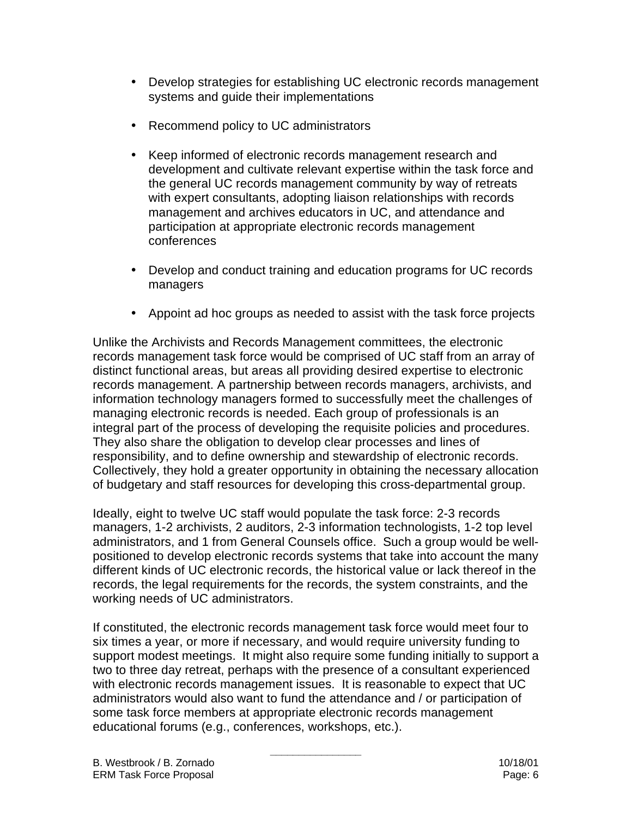- Develop strategies for establishing UC electronic records management systems and guide their implementations
- Recommend policy to UC administrators
- Keep informed of electronic records management research and development and cultivate relevant expertise within the task force and the general UC records management community by way of retreats with expert consultants, adopting liaison relationships with records management and archives educators in UC, and attendance and participation at appropriate electronic records management conferences
- Develop and conduct training and education programs for UC records managers
- Appoint ad hoc groups as needed to assist with the task force projects

Unlike the Archivists and Records Management committees, the electronic records management task force would be comprised of UC staff from an array of distinct functional areas, but areas all providing desired expertise to electronic records management. A partnership between records managers, archivists, and information technology managers formed to successfully meet the challenges of managing electronic records is needed. Each group of professionals is an integral part of the process of developing the requisite policies and procedures. They also share the obligation to develop clear processes and lines of responsibility, and to define ownership and stewardship of electronic records. Collectively, they hold a greater opportunity in obtaining the necessary allocation of budgetary and staff resources for developing this cross-departmental group.

Ideally, eight to twelve UC staff would populate the task force: 2-3 records managers, 1-2 archivists, 2 auditors, 2-3 information technologists, 1-2 top level administrators, and 1 from General Counsels office. Such a group would be wellpositioned to develop electronic records systems that take into account the many different kinds of UC electronic records, the historical value or lack thereof in the records, the legal requirements for the records, the system constraints, and the working needs of UC administrators.

If constituted, the electronic records management task force would meet four to six times a year, or more if necessary, and would require university funding to support modest meetings. It might also require some funding initially to support a two to three day retreat, perhaps with the presence of a consultant experienced with electronic records management issues. It is reasonable to expect that UC administrators would also want to fund the attendance and / or participation of some task force members at appropriate electronic records management educational forums (e.g., conferences, workshops, etc.).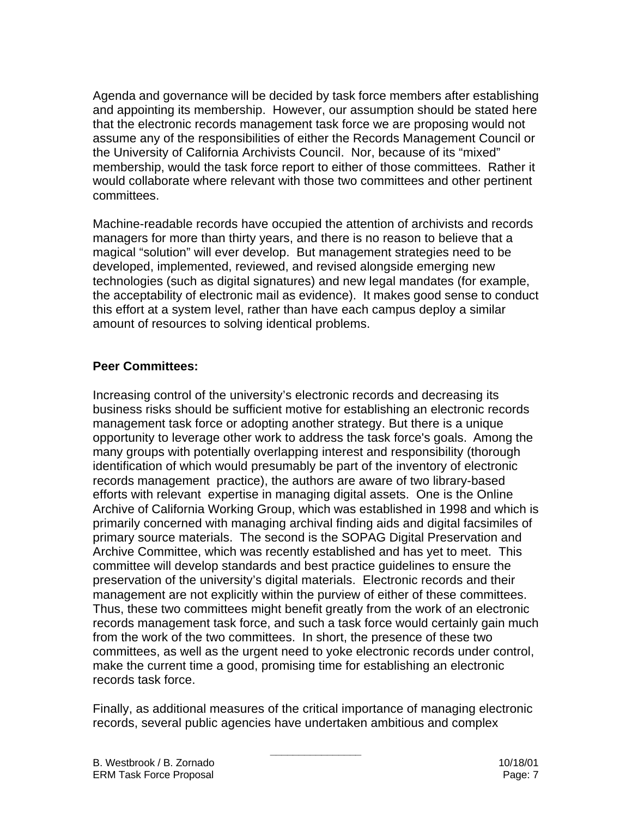Agenda and governance will be decided by task force members after establishing and appointing its membership. However, our assumption should be stated here that the electronic records management task force we are proposing would not assume any of the responsibilities of either the Records Management Council or the University of California Archivists Council. Nor, because of its "mixed" membership, would the task force report to either of those committees. Rather it would collaborate where relevant with those two committees and other pertinent committees.

Machine-readable records have occupied the attention of archivists and records managers for more than thirty years, and there is no reason to believe that a magical "solution" will ever develop. But management strategies need to be developed, implemented, reviewed, and revised alongside emerging new technologies (such as digital signatures) and new legal mandates (for example, the acceptability of electronic mail as evidence). It makes good sense to conduct this effort at a system level, rather than have each campus deploy a similar amount of resources to solving identical problems.

#### **Peer Committees:**

Increasing control of the university's electronic records and decreasing its business risks should be sufficient motive for establishing an electronic records management task force or adopting another strategy. But there is a unique opportunity to leverage other work to address the task force's goals. Among the many groups with potentially overlapping interest and responsibility (thorough identification of which would presumably be part of the inventory of electronic records management practice), the authors are aware of two library-based efforts with relevant expertise in managing digital assets. One is the Online Archive of California Working Group, which was established in 1998 and which is primarily concerned with managing archival finding aids and digital facsimiles of primary source materials. The second is the SOPAG Digital Preservation and Archive Committee, which was recently established and has yet to meet. This committee will develop standards and best practice guidelines to ensure the preservation of the university's digital materials. Electronic records and their management are not explicitly within the purview of either of these committees. Thus, these two committees might benefit greatly from the work of an electronic records management task force, and such a task force would certainly gain much from the work of the two committees. In short, the presence of these two committees, as well as the urgent need to yoke electronic records under control, make the current time a good, promising time for establishing an electronic records task force.

Finally, as additional measures of the critical importance of managing electronic records, several public agencies have undertaken ambitious and complex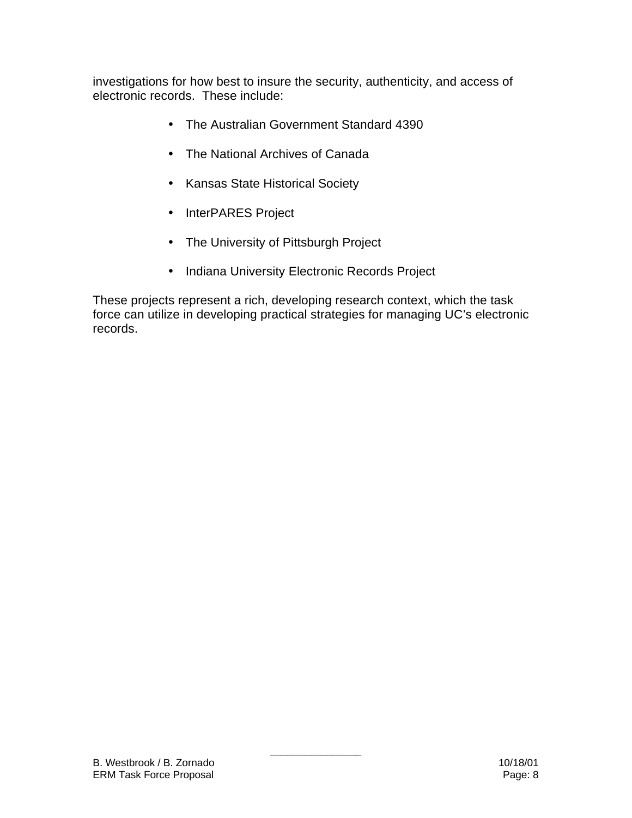investigations for how best to insure the security, authenticity, and access of electronic records. These include:

- The Australian Government Standard 4390
- The National Archives of Canada
- Kansas State Historical Society
- InterPARES Project
- The University of Pittsburgh Project
- Indiana University Electronic Records Project

These projects represent a rich, developing research context, which the task force can utilize in developing practical strategies for managing UC's electronic records.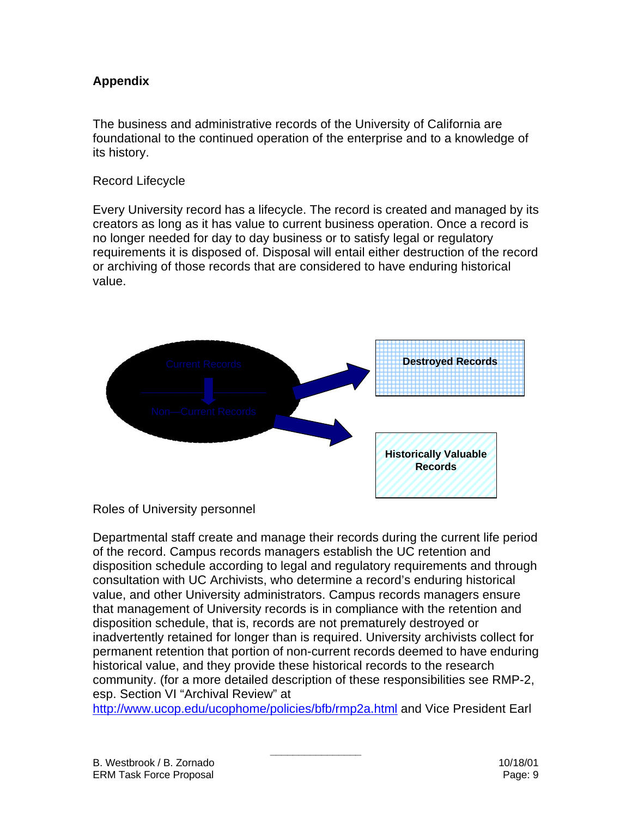## **Appendix**

The business and administrative records of the University of California are foundational to the continued operation of the enterprise and to a knowledge of its history.

#### Record Lifecycle

Every University record has a lifecycle. The record is created and managed by its creators as long as it has value to current business operation. Once a record is no longer needed for day to day business or to satisfy legal or regulatory requirements it is disposed of. Disposal will entail either destruction of the record or archiving of those records that are considered to have enduring historical value.



#### Roles of University personnel

Departmental staff create and manage their records during the current life period of the record. Campus records managers establish the UC retention and disposition schedule according to legal and regulatory requirements and through consultation with UC Archivists, who determine a record's enduring historical value, and other University administrators. Campus records managers ensure that management of University records is in compliance with the retention and disposition schedule, that is, records are not prematurely destroyed or inadvertently retained for longer than is required. University archivists collect for permanent retention that portion of non-current records deemed to have enduring historical value, and they provide these historical records to the research community. (for a more detailed description of these responsibilities see RMP-2, esp. Section VI "Archival Review" at

http://www.ucop.edu/ucophome/policies/bfb/rmp2a.html and Vice President Earl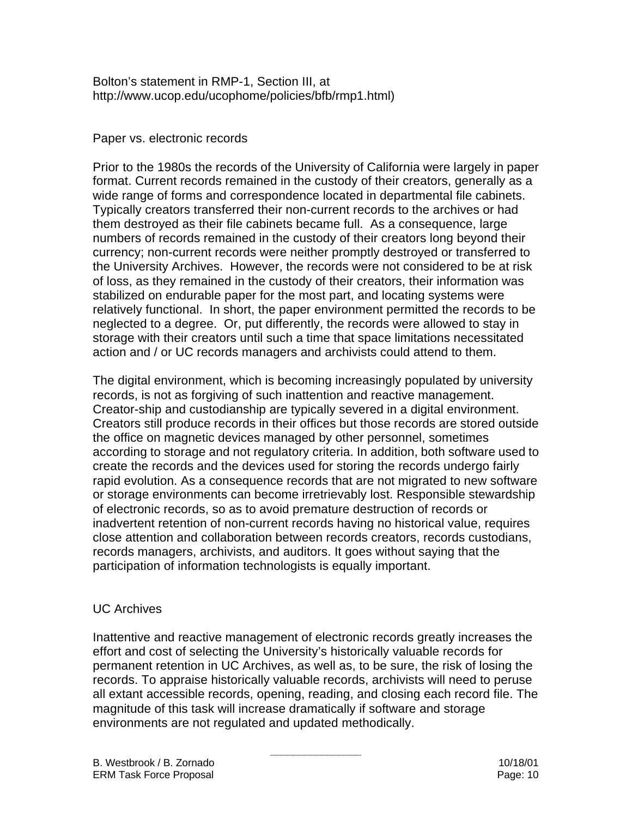Bolton's statement in RMP-1, Section III, at http://www.ucop.edu/ucophome/policies/bfb/rmp1.html)

#### Paper vs. electronic records

Prior to the 1980s the records of the University of California were largely in paper format. Current records remained in the custody of their creators, generally as a wide range of forms and correspondence located in departmental file cabinets. Typically creators transferred their non-current records to the archives or had them destroyed as their file cabinets became full. As a consequence, large numbers of records remained in the custody of their creators long beyond their currency; non-current records were neither promptly destroyed or transferred to the University Archives. However, the records were not considered to be at risk of loss, as they remained in the custody of their creators, their information was stabilized on endurable paper for the most part, and locating systems were relatively functional. In short, the paper environment permitted the records to be neglected to a degree. Or, put differently, the records were allowed to stay in storage with their creators until such a time that space limitations necessitated action and / or UC records managers and archivists could attend to them.

The digital environment, which is becoming increasingly populated by university records, is not as forgiving of such inattention and reactive management. Creator-ship and custodianship are typically severed in a digital environment. Creators still produce records in their offices but those records are stored outside the office on magnetic devices managed by other personnel, sometimes according to storage and not regulatory criteria. In addition, both software used to create the records and the devices used for storing the records undergo fairly rapid evolution. As a consequence records that are not migrated to new software or storage environments can become irretrievably lost. Responsible stewardship of electronic records, so as to avoid premature destruction of records or inadvertent retention of non-current records having no historical value, requires close attention and collaboration between records creators, records custodians, records managers, archivists, and auditors. It goes without saying that the participation of information technologists is equally important.

#### UC Archives

Inattentive and reactive management of electronic records greatly increases the effort and cost of selecting the University's historically valuable records for permanent retention in UC Archives, as well as, to be sure, the risk of losing the records. To appraise historically valuable records, archivists will need to peruse all extant accessible records, opening, reading, and closing each record file. The magnitude of this task will increase dramatically if software and storage environments are not regulated and updated methodically.